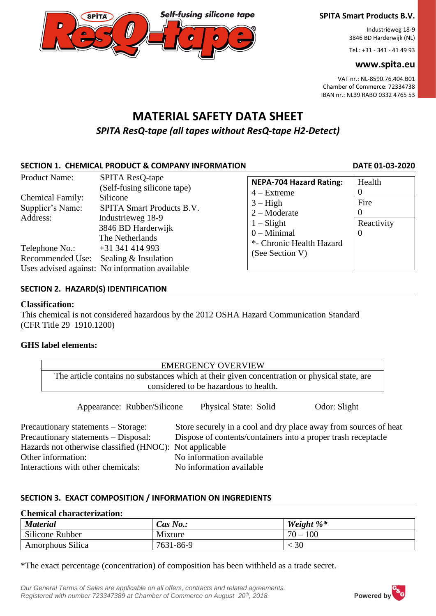**SPITA Smart Products B.V.** Industrieweg 18-9

3846 BD Harderwijk (NL)

Tel.: +31 - 341 - 41 49 93

### **www.spita.eu**

VAT nr.: NL-8590.76.404.B01 Chamber of Commerce: 72334738 IBAN nr.: NL39 RABO 0332 4765 53

# **MATERIAL SAFETY DATA SHEET** *SPITA ResQ-tape (all tapes without ResQ-tape H2-Detect)*

**Self-fusing silicone tape** 

# SECTION 1. CHEMICAL PRODUCT & COMPANY INFORMATION DATE 01-03-2020

| <b>Product Name:</b>                                    | <b>SPITA ResQ-tape</b>                                                                                                                                                                                                                | <b>NEPA-704 Hazard Rating:</b>                                                  | Health                         |
|---------------------------------------------------------|---------------------------------------------------------------------------------------------------------------------------------------------------------------------------------------------------------------------------------------|---------------------------------------------------------------------------------|--------------------------------|
| <b>Chemical Family:</b><br>Supplier's Name:<br>Address: | (Self-fusing silicone tape)<br>Silicone<br><b>SPITA Smart Products B.V.</b><br>Industrieweg 18-9<br>3846 BD Harderwijk<br>The Netherlands<br>$+31341414993$<br>Sealing & Insulation<br>Uses advised against: No information available | $4 - Extreme$<br>$3 - High$<br>$2 -$ Moderate<br>$1 - S$ light<br>$0$ – Minimal | Fire<br>Reactivity<br>$\Omega$ |
| Telephone No.:<br>Recommended Use:                      |                                                                                                                                                                                                                                       | *- Chronic Health Hazard<br>(See Section V)                                     |                                |

# **SECTION 2. HAZARD(S) IDENTIFICATION**

**SPITA** 

### **Classification:**

This chemical is not considered hazardous by the 2012 OSHA Hazard Communication Standard (CFR Title 29 1910.1200)

# **GHS label elements:**

| <b>EMERGENCY OVERVIEW</b>                                                                    |  |  |
|----------------------------------------------------------------------------------------------|--|--|
| The article contains no substances which at their given concentration or physical state, are |  |  |
| considered to be hazardous to health.                                                        |  |  |
|                                                                                              |  |  |

Appearance: Rubber/Silicone Physical State: Solid Odor: Slight

| Precautionary statements – Storage:                     | Store securely in a cool and dry place away from sources of heat |
|---------------------------------------------------------|------------------------------------------------------------------|
| Precautionary statements – Disposal:                    | Dispose of contents/containers into a proper trash receptacle    |
| Hazards not otherwise classified (HNOC): Not applicable |                                                                  |
| Other information:                                      | No information available                                         |
| Interactions with other chemicals:                      | No information available                                         |

# **SECTION 3. EXACT COMPOSITION / INFORMATION ON INGREDIENTS**

| <b>Chemical characterization:</b> |             |               |  |
|-----------------------------------|-------------|---------------|--|
| <b>Material</b>                   | Cas $No.$ : | Weight $\%^*$ |  |
| Silicone Rubber                   | Mixture     | $70 - 100$    |  |
| Amorphous Silica                  | 7631-86-9   | 30            |  |

\*The exact percentage (concentration) of composition has been withheld as a trade secret.

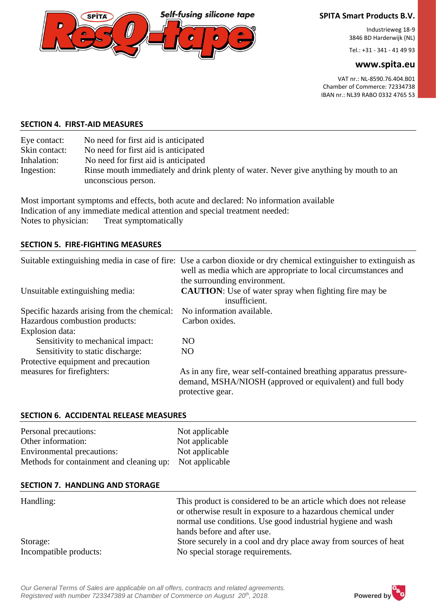

### **SPITA Smart Products B.V.**

Industrieweg 18-9 3846 BD Harderwijk (NL)

Tel.: +31 - 341 - 41 49 93

### **www.spita.eu**

VAT nr.: NL-8590.76.404.B01 Chamber of Commerce: 72334738 IBAN nr.: NL39 RABO 0332 4765 53

#### **SECTION 4. FIRST-AID MEASURES**

| Eye contact:  | No need for first aid is anticipated                                                  |
|---------------|---------------------------------------------------------------------------------------|
| Skin contact: | No need for first aid is anticipated                                                  |
| Inhalation:   | No need for first aid is anticipated                                                  |
| Ingestion:    | Rinse mouth immediately and drink plenty of water. Never give anything by mouth to an |
|               | unconscious person.                                                                   |

Most important symptoms and effects, both acute and declared: No information available Indication of any immediate medical attention and special treatment needed: Notes to physician: Treat symptomatically

### **SECTION 5. FIRE-FIGHTING MEASURES**

|                                             | Suitable extinguishing media in case of fire: Use a carbon dioxide or dry chemical extinguisher to extinguish as<br>well as media which are appropriate to local circumstances and |
|---------------------------------------------|------------------------------------------------------------------------------------------------------------------------------------------------------------------------------------|
| Unsuitable extinguishing media:             | the surrounding environment.<br><b>CAUTION:</b> Use of water spray when fighting fire may be<br>insufficient.                                                                      |
| Specific hazards arising from the chemical: | No information available.                                                                                                                                                          |
| Hazardous combustion products:              | Carbon oxides.                                                                                                                                                                     |
| Explosion data:                             |                                                                                                                                                                                    |
| Sensitivity to mechanical impact:           | NO.                                                                                                                                                                                |
| Sensitivity to static discharge:            | NO.                                                                                                                                                                                |
| Protective equipment and precaution         |                                                                                                                                                                                    |
| measures for firefighters:                  | As in any fire, wear self-contained breathing apparatus pressure-<br>demand, MSHA/NIOSH (approved or equivalent) and full body<br>protective gear.                                 |

#### **SECTION 6. ACCIDENTAL RELEASE MEASURES**

| Personal precautions:                                   | Not applicable |
|---------------------------------------------------------|----------------|
| Other information:                                      | Not applicable |
| Environmental precautions:                              | Not applicable |
| Methods for containment and cleaning up: Not applicable |                |

#### **SECTION 7. HANDLING AND STORAGE**

| Handling:              | This product is considered to be an article which does not release<br>or otherwise result in exposure to a hazardous chemical under<br>normal use conditions. Use good industrial hygiene and wash<br>hands before and after use. |
|------------------------|-----------------------------------------------------------------------------------------------------------------------------------------------------------------------------------------------------------------------------------|
| Storage:               | Store securely in a cool and dry place away from sources of heat                                                                                                                                                                  |
| Incompatible products: | No special storage requirements.                                                                                                                                                                                                  |

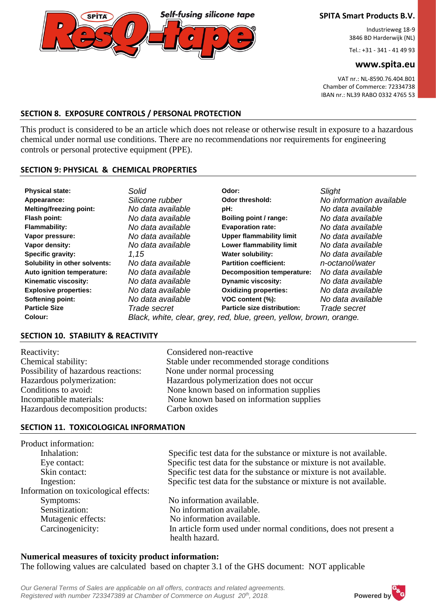**SPITA Smart Products B.V.**

Industrieweg 18-9 3846 BD Harderwijk (NL)

Tel.: +31 - 341 - 41 49 93

#### **www.spita.eu**

VAT nr.: NL-8590.76.404.B01 Chamber of Commerce: 72334738 IBAN nr.: NL39 RABO 0332 4765 53

### **SECTION 8. EXPOSURE CONTROLS / PERSONAL PROTECTION**

This product is considered to be an article which does not release or otherwise result in exposure to a hazardous chemical under normal use conditions. There are no recommendations nor requirements for engineering controls or personal protective equipment (PPE).

**Self-fusing silicone tape** 

#### **SECTION 9: PHYSICAL & CHEMICAL PROPERTIES**

**SPITA** 

| <b>Physical state:</b>         | Solid             | Odor:                                                               | Slight                   |
|--------------------------------|-------------------|---------------------------------------------------------------------|--------------------------|
| Appearance:                    | Silicone rubber   | Odor threshold:                                                     | No information available |
| <b>Melting/freezing point:</b> | No data available | pH:                                                                 | No data available        |
| Flash point:                   | No data available | Boiling point / range:                                              | No data available        |
| <b>Flammability:</b>           | No data available | <b>Evaporation rate:</b>                                            | No data available        |
| Vapor pressure:                | No data available | <b>Upper flammability limit</b>                                     | No data available        |
| Vapor density:                 | No data available | Lower flammability limit                                            | No data available        |
| <b>Specific gravity:</b>       | 1.15              | <b>Water solubility:</b>                                            | No data available        |
| Solubility in other solvents:  | No data available | <b>Partition coefficient:</b>                                       | n-octanol/water          |
| Auto ignition temperature:     | No data available | <b>Decomposition temperature:</b>                                   | No data available        |
| Kinematic viscosity:           | No data available | <b>Dynamic viscosity:</b>                                           | No data available        |
| <b>Explosive properties:</b>   | No data available | <b>Oxidizing properties:</b>                                        | No data available        |
| Softening point:               | No data available | VOC content (%):                                                    | No data available        |
| <b>Particle Size</b>           | Trade secret      | Particle size distribution:                                         | Trade secret             |
| Colour:                        |                   | Black, white, clear, grey, red, blue, green, yellow, brown, orange. |                          |

### **SECTION 10. STABILITY & REACTIVITY**

| Reactivity:                         | Considered non-reactive                     |
|-------------------------------------|---------------------------------------------|
| Chemical stability:                 | Stable under recommended storage conditions |
| Possibility of hazardous reactions: | None under normal processing                |
| Hazardous polymerization:           | Hazardous polymerization does not occur     |
| Conditions to avoid:                | None known based on information supplies    |
| Incompatible materials:             | None known based on information supplies    |
| Hazardous decomposition products:   | Carbon oxides                               |

#### **SECTION 11. TOXICOLOGICAL INFORMATION**

| Product information:                  |                                                                   |
|---------------------------------------|-------------------------------------------------------------------|
| Inhalation:                           | Specific test data for the substance or mixture is not available. |
| Eye contact:                          | Specific test data for the substance or mixture is not available. |
| Skin contact:                         | Specific test data for the substance or mixture is not available. |
| Ingestion:                            | Specific test data for the substance or mixture is not available. |
| Information on toxicological effects: |                                                                   |
| Symptoms:                             | No information available.                                         |
| Sensitization:                        | No information available.                                         |
| Mutagenic effects:                    | No information available.                                         |
| Carcinogenicity:                      | In article form used under normal conditions, does not present a  |
|                                       | health hazard.                                                    |

#### **Numerical measures of toxicity product information:** The following values are calculated based on chapter 3.1 of the GHS document: NOT applicable

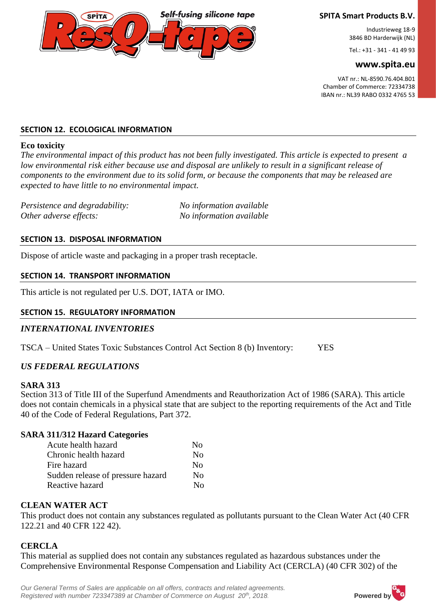**Self-fusing silicone tape** 

### **SPITA Smart Products B.V.**

Industrieweg 18-9 3846 BD Harderwijk (NL)

Tel.: +31 - 341 - 41 49 93

#### **www.spita.eu**

VAT nr.: NL-8590.76.404.B01 Chamber of Commerce: 72334738 IBAN nr.: NL39 RABO 0332 4765 53

### **SECTION 12. ECOLOGICAL INFORMATION**

### **Eco toxicity**

*The environmental impact of this product has not been fully investigated. This article is expected to present a low environmental risk either because use and disposal are unlikely to result in a significant release of components to the environment due to its solid form, or because the components that may be released are expected to have little to no environmental impact.*

| Persistence and degradability: | No information available |
|--------------------------------|--------------------------|
| Other adverse effects:         | No information available |

### **SECTION 13. DISPOSAL INFORMATION**

Dispose of article waste and packaging in a proper trash receptacle.

### **SECTION 14. TRANSPORT INFORMATION**

This article is not regulated per U.S. DOT, IATA or IMO.

## **SECTION 15. REGULATORY INFORMATION**

# *INTERNATIONAL INVENTORIES*

TSCA – United States Toxic Substances Control Act Section 8 (b) Inventory: YES

# *US FEDERAL REGULATIONS*

# **SARA 313**

Section 313 of Title III of the Superfund Amendments and Reauthorization Act of 1986 (SARA). This article does not contain chemicals in a physical state that are subject to the reporting requirements of the Act and Title 40 of the Code of Federal Regulations, Part 372.

# **SARA 311/312 Hazard Categories**

| Acute health hazard               | No. |
|-----------------------------------|-----|
| Chronic health hazard             | No  |
| Fire hazard                       | No  |
| Sudden release of pressure hazard | No  |
| Reactive hazard                   | Nο  |

# **CLEAN WATER ACT**

This product does not contain any substances regulated as pollutants pursuant to the Clean Water Act (40 CFR 122.21 and 40 CFR 122 42).

# **CERCLA**

This material as supplied does not contain any substances regulated as hazardous substances under the Comprehensive Environmental Response Compensation and Liability Act (CERCLA) (40 CFR 302) of the